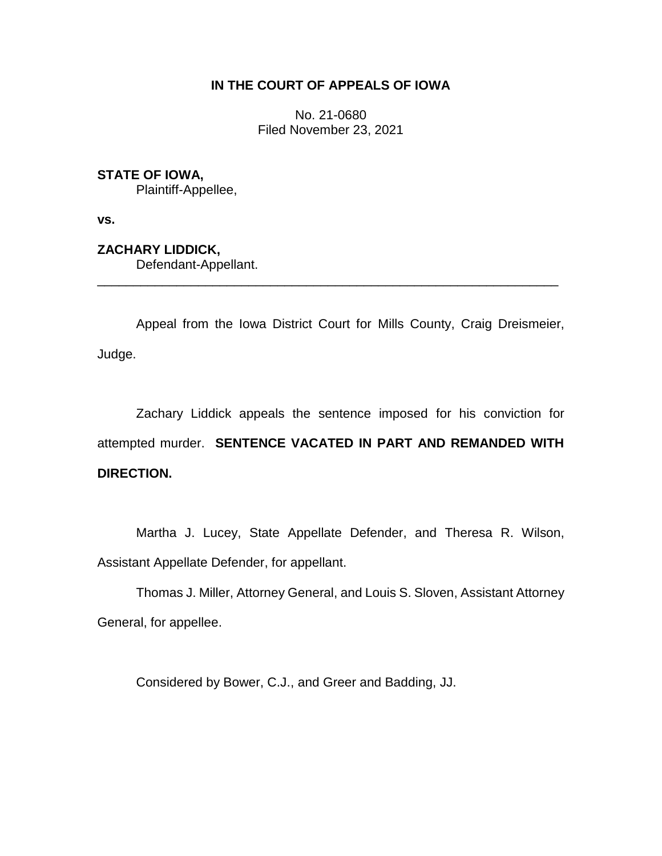# **IN THE COURT OF APPEALS OF IOWA**

No. 21-0680 Filed November 23, 2021

# **STATE OF IOWA,**

Plaintiff-Appellee,

**vs.**

**ZACHARY LIDDICK,**

Defendant-Appellant.

Appeal from the Iowa District Court for Mills County, Craig Dreismeier, Judge.

\_\_\_\_\_\_\_\_\_\_\_\_\_\_\_\_\_\_\_\_\_\_\_\_\_\_\_\_\_\_\_\_\_\_\_\_\_\_\_\_\_\_\_\_\_\_\_\_\_\_\_\_\_\_\_\_\_\_\_\_\_\_\_\_

Zachary Liddick appeals the sentence imposed for his conviction for attempted murder. **SENTENCE VACATED IN PART AND REMANDED WITH DIRECTION.**

Martha J. Lucey, State Appellate Defender, and Theresa R. Wilson, Assistant Appellate Defender, for appellant.

Thomas J. Miller, Attorney General, and Louis S. Sloven, Assistant Attorney General, for appellee.

Considered by Bower, C.J., and Greer and Badding, JJ.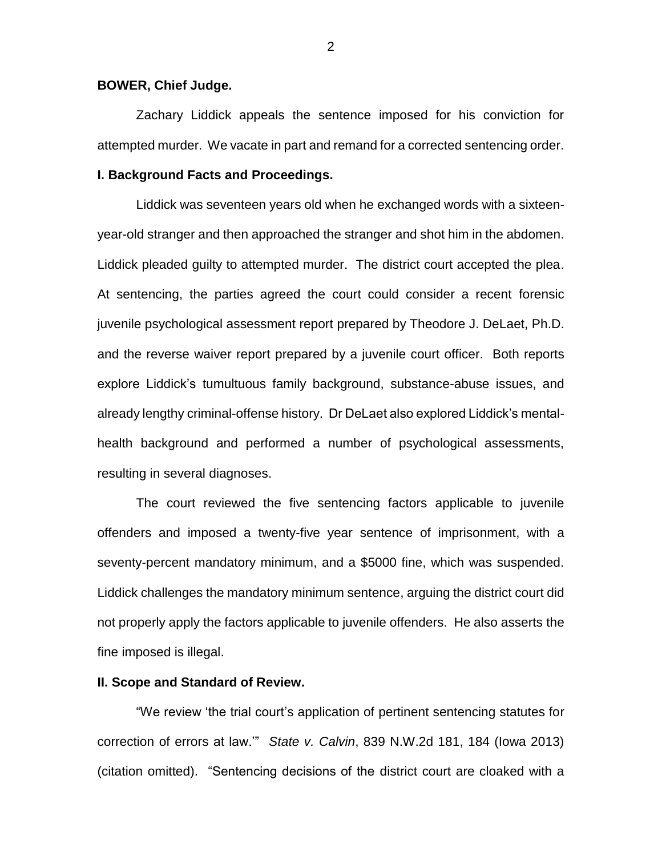#### **BOWER, Chief Judge.**

Zachary Liddick appeals the sentence imposed for his conviction for attempted murder. We vacate in part and remand for a corrected sentencing order.

## **I. Background Facts and Proceedings.**

Liddick was seventeen years old when he exchanged words with a sixteenyear-old stranger and then approached the stranger and shot him in the abdomen. Liddick pleaded guilty to attempted murder. The district court accepted the plea. At sentencing, the parties agreed the court could consider a recent forensic juvenile psychological assessment report prepared by Theodore J. DeLaet, Ph.D. and the reverse waiver report prepared by a juvenile court officer. Both reports explore Liddick's tumultuous family background, substance-abuse issues, and already lengthy criminal-offense history. Dr DeLaet also explored Liddick's mentalhealth background and performed a number of psychological assessments, resulting in several diagnoses.

The court reviewed the five sentencing factors applicable to juvenile offenders and imposed a twenty-five year sentence of imprisonment, with a seventy-percent mandatory minimum, and a \$5000 fine, which was suspended. Liddick challenges the mandatory minimum sentence, arguing the district court did not properly apply the factors applicable to juvenile offenders. He also asserts the fine imposed is illegal.

### **II. Scope and Standard of Review.**

"We review 'the trial court's application of pertinent sentencing statutes for correction of errors at law.'" *State v. Calvin*, 839 N.W.2d 181, 184 (Iowa 2013) (citation omitted). "Sentencing decisions of the district court are cloaked with a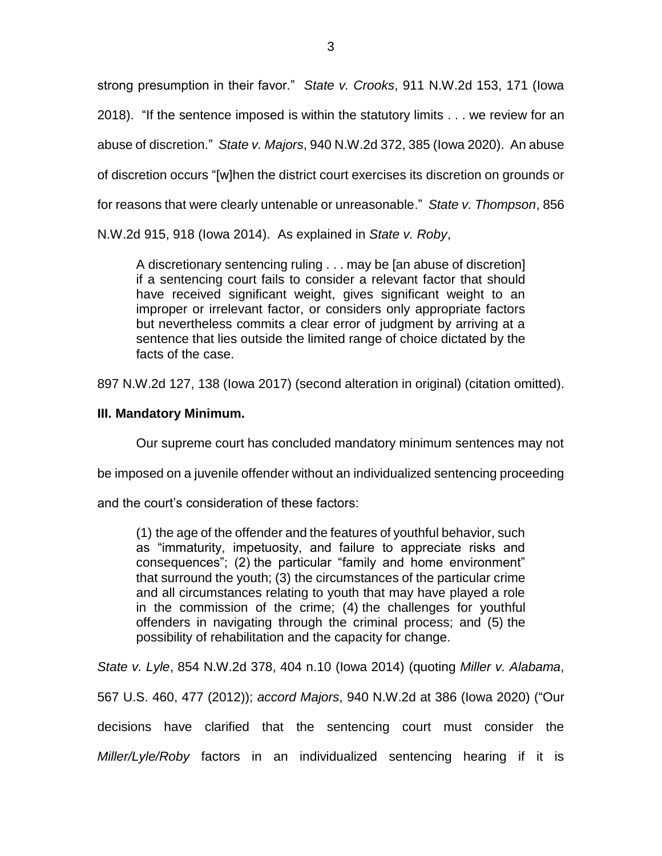strong presumption in their favor." *State v. Crooks*, 911 N.W.2d 153, 171 (Iowa 2018). "If the sentence imposed is within the statutory limits . . . we review for an abuse of discretion." *State v. Majors*, 940 N.W.2d 372, 385 (Iowa 2020). An abuse of discretion occurs "[w]hen the district court exercises its discretion on grounds or for reasons that were clearly untenable or unreasonable." *State v. Thompson*, 856

N.W.2d 915, 918 (Iowa 2014). As explained in *State v. Roby*,

A discretionary sentencing ruling . . . may be [an abuse of discretion] if a sentencing court fails to consider a relevant factor that should have received significant weight, gives significant weight to an improper or irrelevant factor, or considers only appropriate factors but nevertheless commits a clear error of judgment by arriving at a sentence that lies outside the limited range of choice dictated by the facts of the case.

897 N.W.2d 127, 138 (Iowa 2017) (second alteration in original) (citation omitted).

# **III. Mandatory Minimum.**

Our supreme court has concluded mandatory minimum sentences may not

be imposed on a juvenile offender without an individualized sentencing proceeding

and the court's consideration of these factors:

(1) the age of the offender and the features of youthful behavior, such as "immaturity, impetuosity, and failure to appreciate risks and consequences"; (2) the particular "family and home environment" that surround the youth; (3) the circumstances of the particular crime and all circumstances relating to youth that may have played a role in the commission of the crime; (4) the challenges for youthful offenders in navigating through the criminal process; and (5) the possibility of rehabilitation and the capacity for change.

*State v. Lyle*, 854 N.W.2d 378, 404 n.10 (Iowa 2014) (quoting *Miller v. Alabama*,

567 U.S. 460, 477 (2012)); *accord Majors*, 940 N.W.2d at 386 (Iowa 2020) ("Our

decisions have clarified that the sentencing court must consider the

*Miller/Lyle/Roby* factors in an individualized sentencing hearing if it is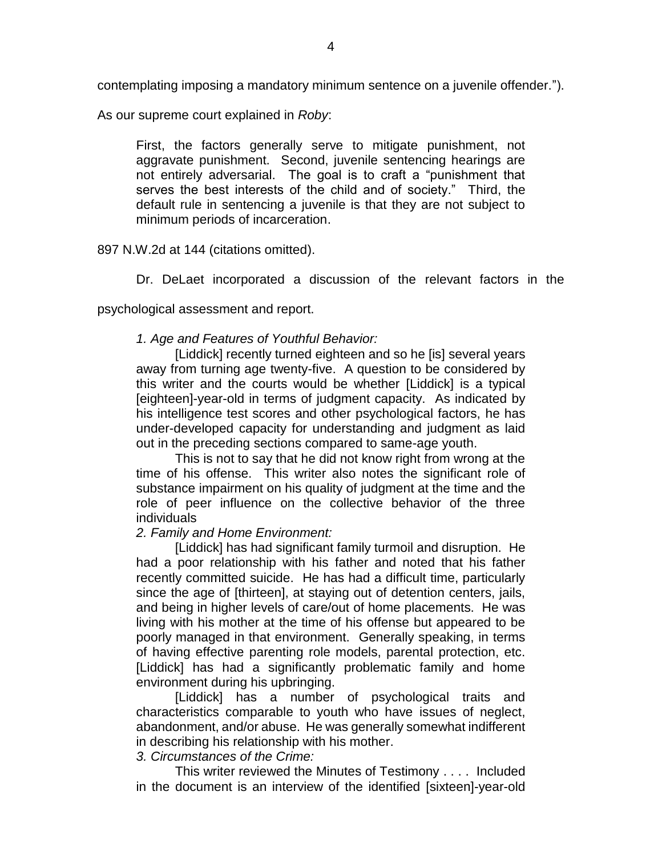contemplating imposing a mandatory minimum sentence on a juvenile offender.").

As our supreme court explained in *Roby*:

First, the factors generally serve to mitigate punishment, not aggravate punishment. Second, juvenile sentencing hearings are not entirely adversarial. The goal is to craft a "punishment that serves the best interests of the child and of society." Third, the default rule in sentencing a juvenile is that they are not subject to minimum periods of incarceration.

897 N.W.2d at 144 (citations omitted).

Dr. DeLaet incorporated a discussion of the relevant factors in the

psychological assessment and report.

## *1. Age and Features of Youthful Behavior:*

[Liddick] recently turned eighteen and so he [is] several years away from turning age twenty-five. A question to be considered by this writer and the courts would be whether [Liddick] is a typical [eighteen]-year-old in terms of judgment capacity. As indicated by his intelligence test scores and other psychological factors, he has under-developed capacity for understanding and judgment as laid out in the preceding sections compared to same-age youth.

This is not to say that he did not know right from wrong at the time of his offense. This writer also notes the significant role of substance impairment on his quality of judgment at the time and the role of peer influence on the collective behavior of the three individuals

## *2. Family and Home Environment:*

[Liddick] has had significant family turmoil and disruption. He had a poor relationship with his father and noted that his father recently committed suicide. He has had a difficult time, particularly since the age of [thirteen], at staying out of detention centers, jails, and being in higher levels of care/out of home placements. He was living with his mother at the time of his offense but appeared to be poorly managed in that environment. Generally speaking, in terms of having effective parenting role models, parental protection, etc. [Liddick] has had a significantly problematic family and home environment during his upbringing.

[Liddick] has a number of psychological traits and characteristics comparable to youth who have issues of neglect, abandonment, and/or abuse. He was generally somewhat indifferent in describing his relationship with his mother.

## *3. Circumstances of the Crime:*

This writer reviewed the Minutes of Testimony . . . . Included in the document is an interview of the identified [sixteen]-year-old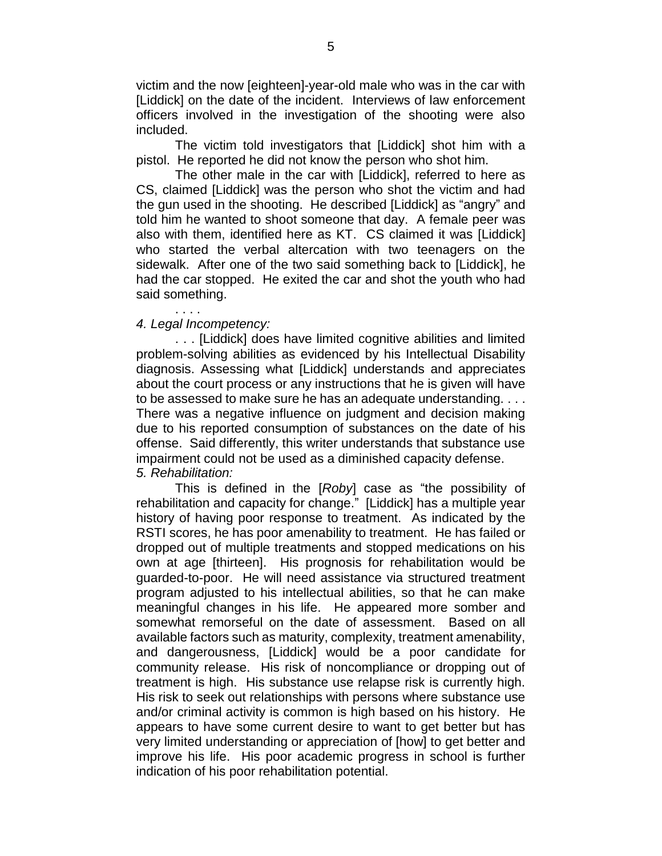victim and the now [eighteen]-year-old male who was in the car with [Liddick] on the date of the incident. Interviews of law enforcement officers involved in the investigation of the shooting were also included.

The victim told investigators that [Liddick] shot him with a pistol. He reported he did not know the person who shot him.

The other male in the car with [Liddick], referred to here as CS, claimed [Liddick] was the person who shot the victim and had the gun used in the shooting. He described [Liddick] as "angry" and told him he wanted to shoot someone that day. A female peer was also with them, identified here as KT. CS claimed it was [Liddick] who started the verbal altercation with two teenagers on the sidewalk. After one of the two said something back to [Liddick], he had the car stopped. He exited the car and shot the youth who had said something.

## *4. Legal Incompetency:*

. . . .

. . . [Liddick] does have limited cognitive abilities and limited problem-solving abilities as evidenced by his Intellectual Disability diagnosis. Assessing what [Liddick] understands and appreciates about the court process or any instructions that he is given will have to be assessed to make sure he has an adequate understanding. . . . There was a negative influence on judgment and decision making due to his reported consumption of substances on the date of his offense. Said differently, this writer understands that substance use impairment could not be used as a diminished capacity defense. *5. Rehabilitation:*

This is defined in the [*Roby*] case as "the possibility of rehabilitation and capacity for change." [Liddick] has a multiple year history of having poor response to treatment. As indicated by the RSTI scores, he has poor amenability to treatment. He has failed or dropped out of multiple treatments and stopped medications on his own at age [thirteen]. His prognosis for rehabilitation would be guarded-to-poor. He will need assistance via structured treatment program adjusted to his intellectual abilities, so that he can make meaningful changes in his life. He appeared more somber and somewhat remorseful on the date of assessment. Based on all available factors such as maturity, complexity, treatment amenability, and dangerousness, [Liddick] would be a poor candidate for community release. His risk of noncompliance or dropping out of treatment is high. His substance use relapse risk is currently high. His risk to seek out relationships with persons where substance use and/or criminal activity is common is high based on his history. He appears to have some current desire to want to get better but has very limited understanding or appreciation of [how] to get better and improve his life. His poor academic progress in school is further indication of his poor rehabilitation potential.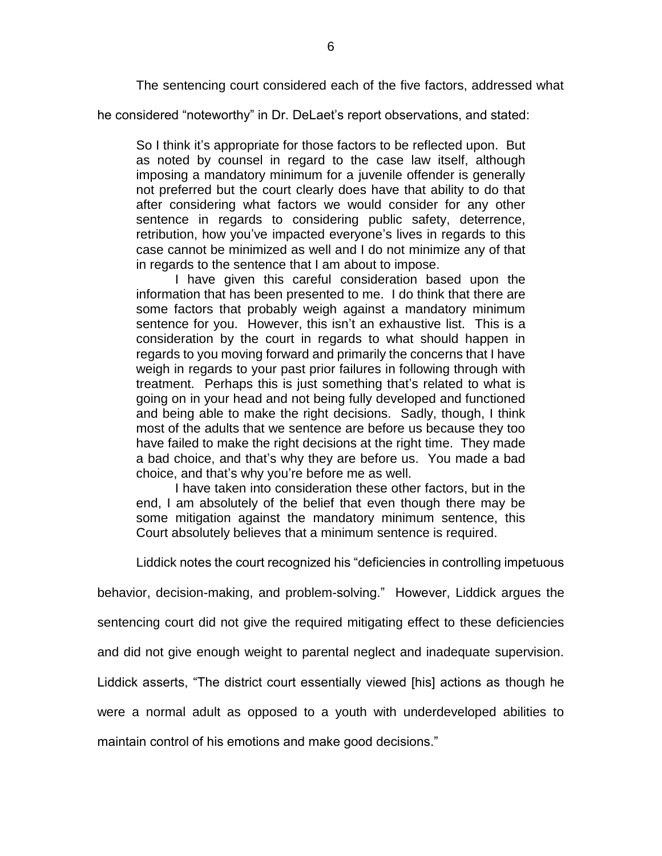The sentencing court considered each of the five factors, addressed what

he considered "noteworthy" in Dr. DeLaet's report observations, and stated:

So I think it's appropriate for those factors to be reflected upon. But as noted by counsel in regard to the case law itself, although imposing a mandatory minimum for a juvenile offender is generally not preferred but the court clearly does have that ability to do that after considering what factors we would consider for any other sentence in regards to considering public safety, deterrence, retribution, how you've impacted everyone's lives in regards to this case cannot be minimized as well and I do not minimize any of that in regards to the sentence that I am about to impose.

I have given this careful consideration based upon the information that has been presented to me. I do think that there are some factors that probably weigh against a mandatory minimum sentence for you. However, this isn't an exhaustive list. This is a consideration by the court in regards to what should happen in regards to you moving forward and primarily the concerns that I have weigh in regards to your past prior failures in following through with treatment. Perhaps this is just something that's related to what is going on in your head and not being fully developed and functioned and being able to make the right decisions. Sadly, though, I think most of the adults that we sentence are before us because they too have failed to make the right decisions at the right time. They made a bad choice, and that's why they are before us. You made a bad choice, and that's why you're before me as well.

I have taken into consideration these other factors, but in the end, I am absolutely of the belief that even though there may be some mitigation against the mandatory minimum sentence, this Court absolutely believes that a minimum sentence is required.

Liddick notes the court recognized his "deficiencies in controlling impetuous

behavior, decision-making, and problem-solving." However, Liddick argues the

sentencing court did not give the required mitigating effect to these deficiencies

and did not give enough weight to parental neglect and inadequate supervision.

Liddick asserts, "The district court essentially viewed [his] actions as though he

were a normal adult as opposed to a youth with underdeveloped abilities to

maintain control of his emotions and make good decisions."